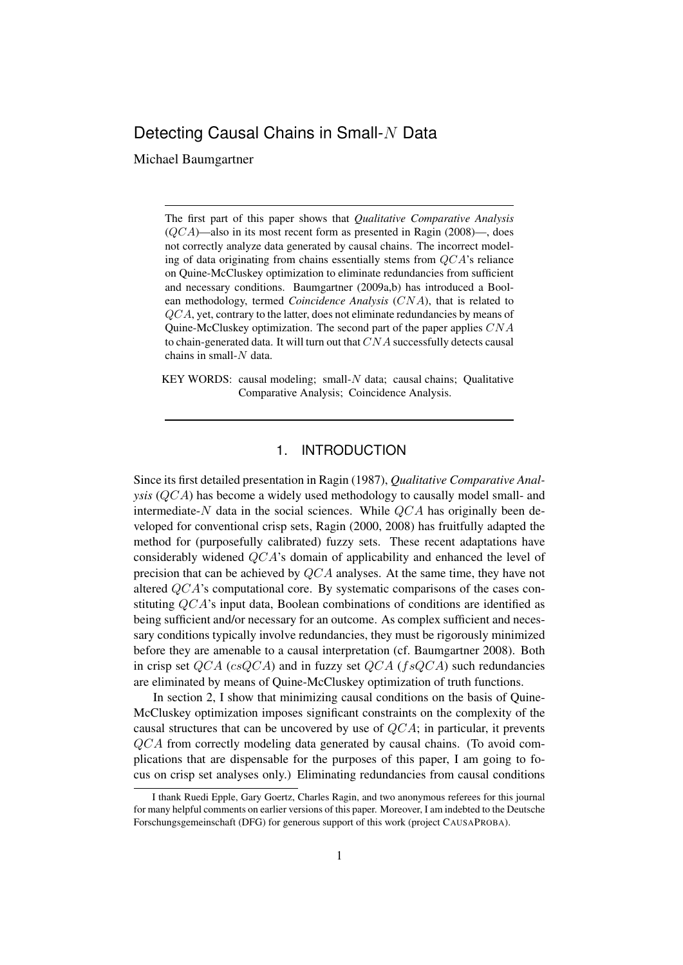# Detecting Causal Chains in Small-N Data

Michael Baumgartner

The first part of this paper shows that *Qualitative Comparative Analysis*  $(QCA)$ —also in its most recent form as presented in Ragin (2008)—, does not correctly analyze data generated by causal chains. The incorrect modeling of data originating from chains essentially stems from QCA's reliance on Quine-McCluskey optimization to eliminate redundancies from sufficient and necessary conditions. Baumgartner (2009a,b) has introduced a Boolean methodology, termed *Coincidence Analysis* (CNA), that is related to QCA, yet, contrary to the latter, does not eliminate redundancies by means of Quine-McCluskey optimization. The second part of the paper applies  $CNA$ to chain-generated data. It will turn out that  $CNA$  successfully detects causal chains in small-N data.

KEY WORDS: causal modeling; small-N data; causal chains; Qualitative Comparative Analysis; Coincidence Analysis.

### 1. INTRODUCTION

Since its first detailed presentation in Ragin (1987), *Qualitative Comparative Analysis* (QCA) has become a widely used methodology to causally model small- and intermediate-N data in the social sciences. While  $OCA$  has originally been developed for conventional crisp sets, Ragin (2000, 2008) has fruitfully adapted the method for (purposefully calibrated) fuzzy sets. These recent adaptations have considerably widened QCA's domain of applicability and enhanced the level of precision that can be achieved by QCA analyses. At the same time, they have not altered QCA's computational core. By systematic comparisons of the cases constituting QCA's input data, Boolean combinations of conditions are identified as being sufficient and/or necessary for an outcome. As complex sufficient and necessary conditions typically involve redundancies, they must be rigorously minimized before they are amenable to a causal interpretation (cf. Baumgartner 2008). Both in crisp set  $QCA$  (cs $QCA$ ) and in fuzzy set  $QCA$  (fs $QCA$ ) such redundancies are eliminated by means of Quine-McCluskey optimization of truth functions.

In section 2, I show that minimizing causal conditions on the basis of Quine-McCluskey optimization imposes significant constraints on the complexity of the causal structures that can be uncovered by use of QCA; in particular, it prevents QCA from correctly modeling data generated by causal chains. (To avoid complications that are dispensable for the purposes of this paper, I am going to focus on crisp set analyses only.) Eliminating redundancies from causal conditions

I thank Ruedi Epple, Gary Goertz, Charles Ragin, and two anonymous referees for this journal for many helpful comments on earlier versions of this paper. Moreover, I am indebted to the Deutsche Forschungsgemeinschaft (DFG) for generous support of this work (project CAUSAPROBA).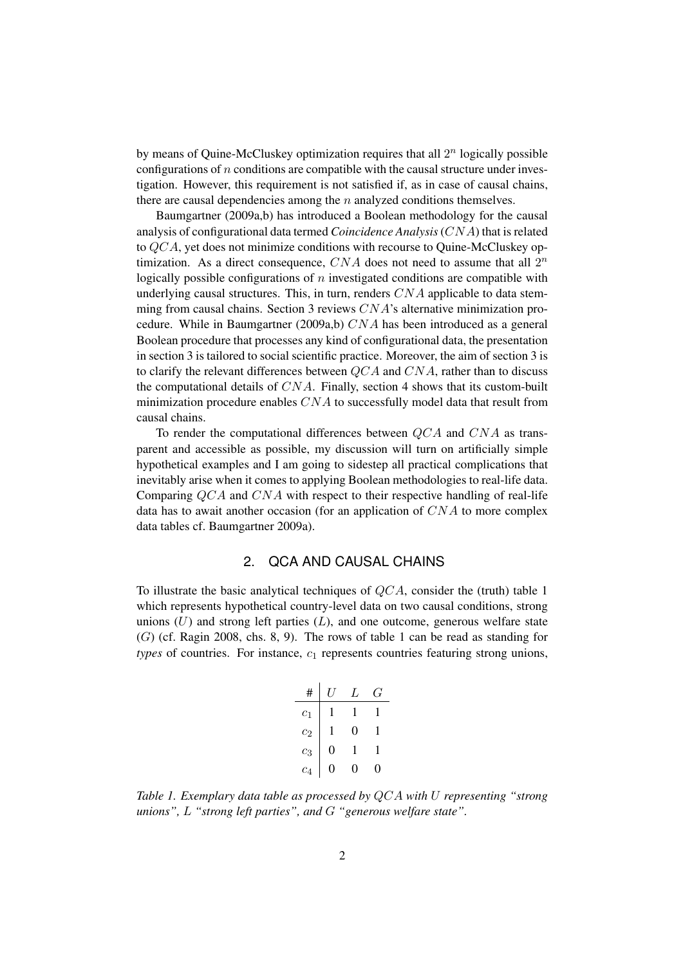by means of Quine-McCluskey optimization requires that all  $2<sup>n</sup>$  logically possible configurations of  $n$  conditions are compatible with the causal structure under investigation. However, this requirement is not satisfied if, as in case of causal chains, there are causal dependencies among the  $n$  analyzed conditions themselves.

Baumgartner (2009a,b) has introduced a Boolean methodology for the causal analysis of configurational data termed *Coincidence Analysis*(CNA) that is related to  $QCA$ , yet does not minimize conditions with recourse to Quine-McCluskey optimization. As a direct consequence,  $CNA$  does not need to assume that all  $2^n$ logically possible configurations of  $n$  investigated conditions are compatible with underlying causal structures. This, in turn, renders  $CNA$  applicable to data stemming from causal chains. Section 3 reviews CNA's alternative minimization procedure. While in Baumgartner (2009a,b)  $CNA$  has been introduced as a general Boolean procedure that processes any kind of configurational data, the presentation in section 3 is tailored to social scientific practice. Moreover, the aim of section 3 is to clarify the relevant differences between  $QCA$  and  $CNA$ , rather than to discuss the computational details of  $CNA$ . Finally, section 4 shows that its custom-built minimization procedure enables  $CNA$  to successfully model data that result from causal chains.

To render the computational differences between QCA and CNA as transparent and accessible as possible, my discussion will turn on artificially simple hypothetical examples and I am going to sidestep all practical complications that inevitably arise when it comes to applying Boolean methodologies to real-life data. Comparing QCA and CNA with respect to their respective handling of real-life data has to await another occasion (for an application of  $CNA$  to more complex data tables cf. Baumgartner 2009a).

## 2. QCA AND CAUSAL CHAINS

To illustrate the basic analytical techniques of  $QCA$ , consider the (truth) table 1 which represents hypothetical country-level data on two causal conditions, strong unions  $(U)$  and strong left parties  $(L)$ , and one outcome, generous welfare state  $(G)$  (cf. Ragin 2008, chs. 8, 9). The rows of table 1 can be read as standing for  $types$  of countries. For instance,  $c<sub>1</sub>$  represents countries featuring strong unions,

| #              | IJ | L | ′ -' |
|----------------|----|---|------|
| $c_1$          |    |   |      |
| c <sub>2</sub> |    | 0 |      |
| $c_3$          | 0  |   |      |
| $c_4$          | 0  | 0 | 0    |

*Table 1. Exemplary data table as processed by* QCA *with* U *representing "strong unions",* L *"strong left parties", and* G *"generous welfare state".*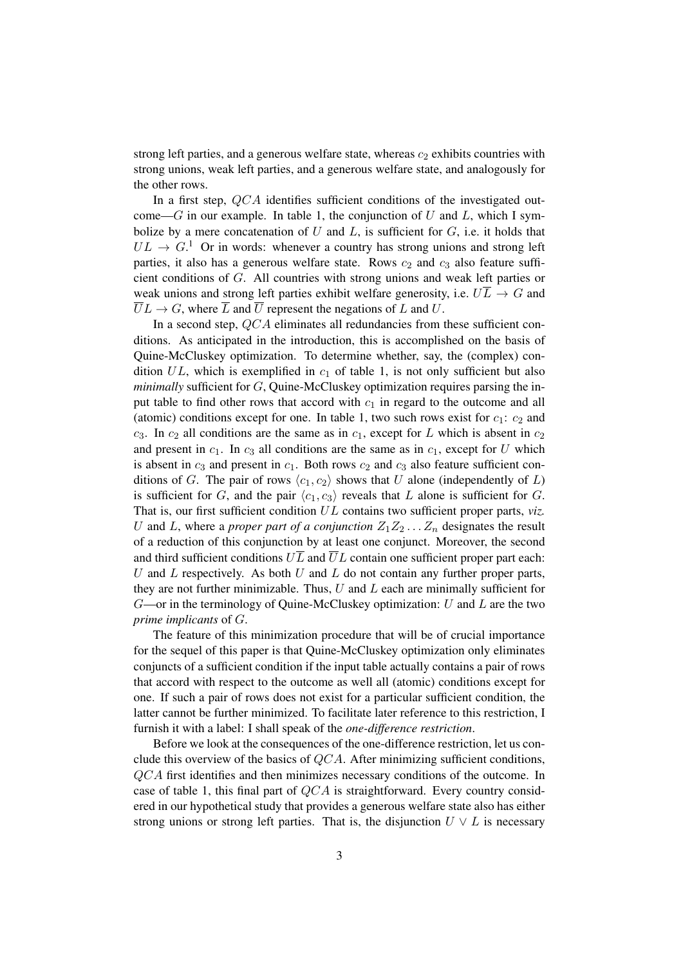strong left parties, and a generous welfare state, whereas  $c_2$  exhibits countries with strong unions, weak left parties, and a generous welfare state, and analogously for the other rows.

In a first step, QCA identifies sufficient conditions of the investigated outcome— $G$  in our example. In table 1, the conjunction of  $U$  and  $L$ , which I symbolize by a mere concatenation of  $U$  and  $L$ , is sufficient for  $G$ , i.e. it holds that  $UL \rightarrow G$ <sup>1</sup>. Or in words: whenever a country has strong unions and strong left parties, it also has a generous welfare state. Rows  $c_2$  and  $c_3$  also feature sufficient conditions of G. All countries with strong unions and weak left parties or weak unions and strong left parties exhibit welfare generosity, i.e.  $U\overline{L} \rightarrow G$  and  $\overline{U}L \rightarrow G$ , where  $\overline{L}$  and  $\overline{U}$  represent the negations of L and U.

In a second step,  $QCA$  eliminates all redundancies from these sufficient conditions. As anticipated in the introduction, this is accomplished on the basis of Quine-McCluskey optimization. To determine whether, say, the (complex) condition  $UL$ , which is exemplified in  $c_1$  of table 1, is not only sufficient but also *minimally* sufficient for G, Quine-McCluskey optimization requires parsing the input table to find other rows that accord with  $c_1$  in regard to the outcome and all (atomic) conditions except for one. In table 1, two such rows exist for  $c_1$ :  $c_2$  and  $c_3$ . In  $c_2$  all conditions are the same as in  $c_1$ , except for L which is absent in  $c_2$ and present in  $c_1$ . In  $c_3$  all conditions are the same as in  $c_1$ , except for U which is absent in  $c_3$  and present in  $c_1$ . Both rows  $c_2$  and  $c_3$  also feature sufficient conditions of G. The pair of rows  $\langle c_1, c_2 \rangle$  shows that U alone (independently of L) is sufficient for G, and the pair  $\langle c_1, c_3 \rangle$  reveals that L alone is sufficient for G. That is, our first sufficient condition UL contains two sufficient proper parts, *viz.* U and L, where a *proper part of a conjunction*  $Z_1 Z_2 \ldots Z_n$  designates the result of a reduction of this conjunction by at least one conjunct. Moreover, the second and third sufficient conditions  $U\overline{L}$  and  $\overline{U}L$  contain one sufficient proper part each:  $U$  and  $L$  respectively. As both  $U$  and  $L$  do not contain any further proper parts, they are not further minimizable. Thus,  $U$  and  $L$  each are minimally sufficient for  $G$ —or in the terminology of Quine-McCluskey optimization: U and L are the two *prime implicants* of G.

The feature of this minimization procedure that will be of crucial importance for the sequel of this paper is that Quine-McCluskey optimization only eliminates conjuncts of a sufficient condition if the input table actually contains a pair of rows that accord with respect to the outcome as well all (atomic) conditions except for one. If such a pair of rows does not exist for a particular sufficient condition, the latter cannot be further minimized. To facilitate later reference to this restriction, I furnish it with a label: I shall speak of the *one-difference restriction*.

Before we look at the consequences of the one-difference restriction, let us conclude this overview of the basics of QCA. After minimizing sufficient conditions, QCA first identifies and then minimizes necessary conditions of the outcome. In case of table 1, this final part of  $QCA$  is straightforward. Every country considered in our hypothetical study that provides a generous welfare state also has either strong unions or strong left parties. That is, the disjunction  $U \vee L$  is necessary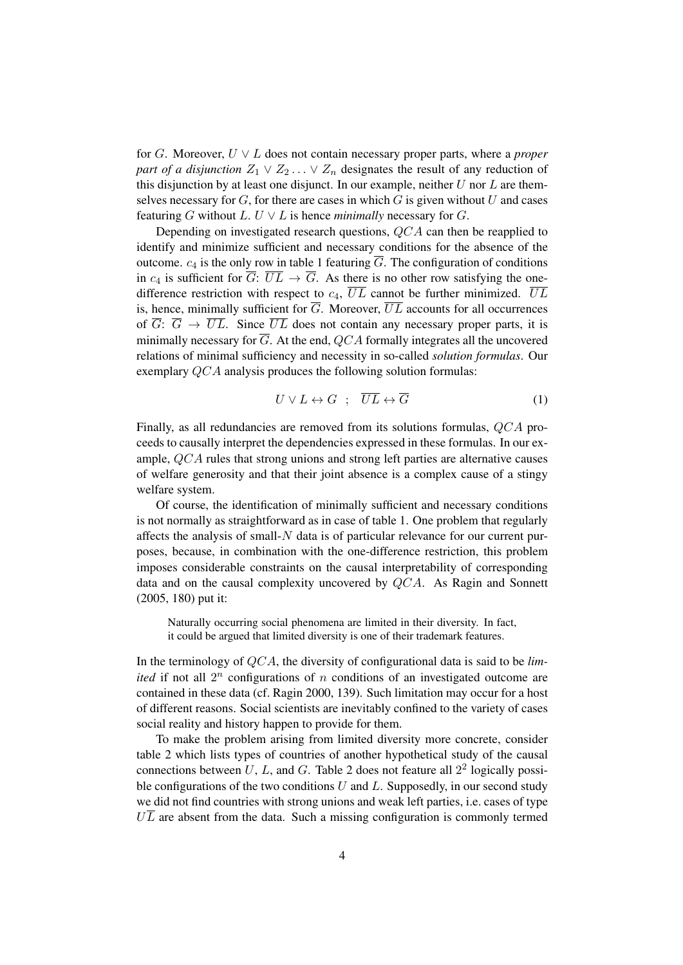for G. Moreover, U ∨ L does not contain necessary proper parts, where a *proper part of a disjunction*  $Z_1 \vee Z_2 \dots \vee Z_n$  designates the result of any reduction of this disjunction by at least one disjunct. In our example, neither  $U$  nor  $L$  are themselves necessary for  $G$ , for there are cases in which  $G$  is given without  $U$  and cases featuring G without  $L$ .  $U \vee L$  is hence *minimally* necessary for G.

Depending on investigated research questions, QCA can then be reapplied to identify and minimize sufficient and necessary conditions for the absence of the outcome.  $c_4$  is the only row in table 1 featuring  $\overline{G}$ . The configuration of conditions in  $c_4$  is sufficient for  $\overline{G}$ :  $\overline{UL} \rightarrow \overline{G}$ . As there is no other row satisfying the onedifference restriction with respect to  $c_4$ ,  $\overline{UL}$  cannot be further minimized.  $\overline{UL}$ is, hence, minimally sufficient for  $\overline{G}$ . Moreover,  $\overline{UL}$  accounts for all occurrences of  $\overline{G}$ :  $\overline{G}$   $\rightarrow$   $\overline{UL}$ . Since  $\overline{UL}$  does not contain any necessary proper parts, it is minimally necessary for  $\overline{G}$ . At the end, QCA formally integrates all the uncovered relations of minimal sufficiency and necessity in so-called *solution formulas*. Our exemplary QCA analysis produces the following solution formulas:

$$
U \vee L \leftrightarrow G \quad ; \quad \overline{UL} \leftrightarrow \overline{G} \tag{1}
$$

Finally, as all redundancies are removed from its solutions formulas, QCA proceeds to causally interpret the dependencies expressed in these formulas. In our example, QCA rules that strong unions and strong left parties are alternative causes of welfare generosity and that their joint absence is a complex cause of a stingy welfare system.

Of course, the identification of minimally sufficient and necessary conditions is not normally as straightforward as in case of table 1. One problem that regularly affects the analysis of small-N data is of particular relevance for our current purposes, because, in combination with the one-difference restriction, this problem imposes considerable constraints on the causal interpretability of corresponding data and on the causal complexity uncovered by  $QCA$ . As Ragin and Sonnett (2005, 180) put it:

Naturally occurring social phenomena are limited in their diversity. In fact, it could be argued that limited diversity is one of their trademark features.

In the terminology of QCA, the diversity of configurational data is said to be *limited* if not all  $2^n$  configurations of n conditions of an investigated outcome are contained in these data (cf. Ragin 2000, 139). Such limitation may occur for a host of different reasons. Social scientists are inevitably confined to the variety of cases social reality and history happen to provide for them.

To make the problem arising from limited diversity more concrete, consider table 2 which lists types of countries of another hypothetical study of the causal connections between  $U, L$ , and  $G$ . Table 2 does not feature all  $2<sup>2</sup>$  logically possible configurations of the two conditions  $U$  and  $L$ . Supposedly, in our second study we did not find countries with strong unions and weak left parties, i.e. cases of type  $U\overline{L}$  are absent from the data. Such a missing configuration is commonly termed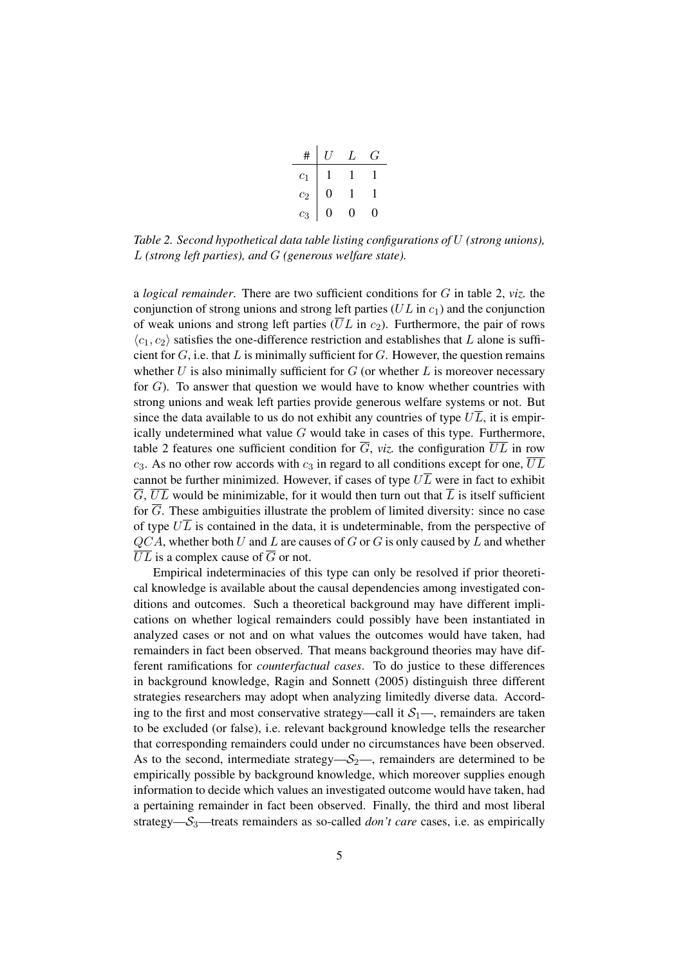| #     | IJ | L | $\mathcal{L}$ |
|-------|----|---|---------------|
| $c_1$ |    |   |               |
| $c_2$ | 0  |   |               |
| $c_3$ | I) | 0 | 0             |

*Table 2. Second hypothetical data table listing configurations of* U *(strong unions),* L *(strong left parties), and* G *(generous welfare state).*

a *logical remainder*. There are two sufficient conditions for G in table 2, *viz.* the conjunction of strong unions and strong left parties ( $UL$  in  $c<sub>1</sub>$ ) and the conjunction of weak unions and strong left parties  $(\overline{U}L$  in  $c_2$ ). Furthermore, the pair of rows  $\langle c_1, c_2 \rangle$  satisfies the one-difference restriction and establishes that L alone is sufficient for  $G$ , i.e. that  $L$  is minimally sufficient for  $G$ . However, the question remains whether  $U$  is also minimally sufficient for  $G$  (or whether  $L$  is moreover necessary for G). To answer that question we would have to know whether countries with strong unions and weak left parties provide generous welfare systems or not. But since the data available to us do not exhibit any countries of type  $U\overline{L}$ , it is empirically undetermined what value  $G$  would take in cases of this type. Furthermore, table 2 features one sufficient condition for  $\overline{G}$ , *viz.* the configuration  $\overline{UL}$  in row  $c_3$ . As no other row accords with  $c_3$  in regard to all conditions except for one,  $\overline{UL}$ cannot be further minimized. However, if cases of type  $U\overline{L}$  were in fact to exhibit  $\overline{G}$ ,  $\overline{UL}$  would be minimizable, for it would then turn out that  $\overline{L}$  is itself sufficient for  $\overline{G}$ . These ambiguities illustrate the problem of limited diversity: since no case of type  $U\overline{L}$  is contained in the data, it is undeterminable, from the perspective of  $QCA$ , whether both U and L are causes of G or G is only caused by L and whether  $\overline{UL}$  is a complex cause of  $\overline{G}$  or not.

Empirical indeterminacies of this type can only be resolved if prior theoretical knowledge is available about the causal dependencies among investigated conditions and outcomes. Such a theoretical background may have different implications on whether logical remainders could possibly have been instantiated in analyzed cases or not and on what values the outcomes would have taken, had remainders in fact been observed. That means background theories may have different ramifications for *counterfactual cases*. To do justice to these differences in background knowledge, Ragin and Sonnett (2005) distinguish three different strategies researchers may adopt when analyzing limitedly diverse data. According to the first and most conservative strategy—call it  $S_1$ —, remainders are taken to be excluded (or false), i.e. relevant background knowledge tells the researcher that corresponding remainders could under no circumstances have been observed. As to the second, intermediate strategy— $S_2$ —, remainders are determined to be empirically possible by background knowledge, which moreover supplies enough information to decide which values an investigated outcome would have taken, had a pertaining remainder in fact been observed. Finally, the third and most liberal strategy—S3—treats remainders as so-called *don't care* cases, i.e. as empirically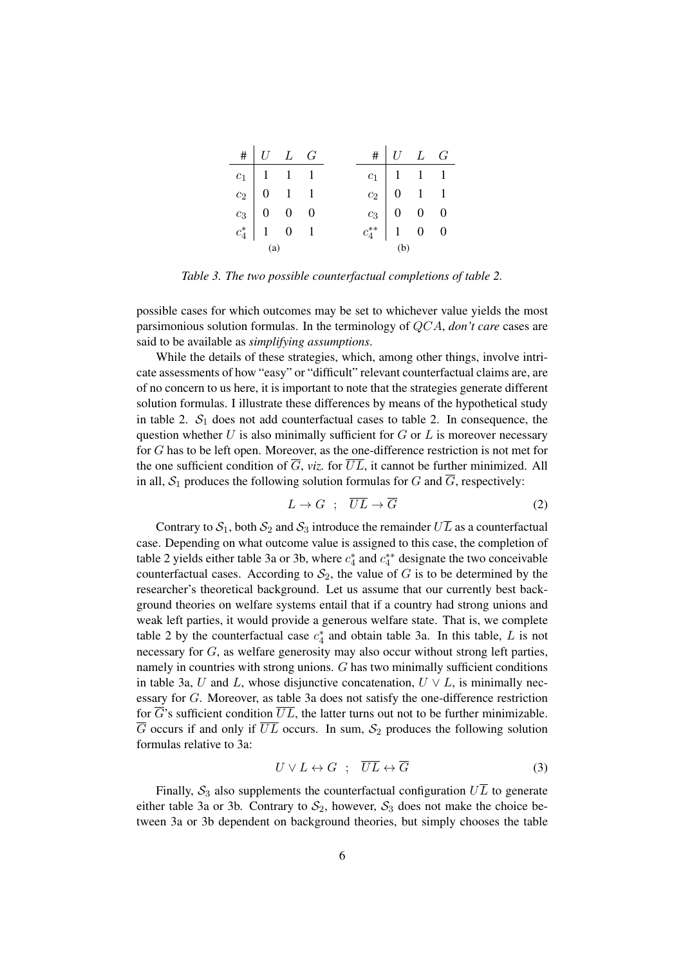|     | $\# U L G$                                                                                                                                                             |  |     | $\# U L G$                                                                                                                                                |  |  |  |
|-----|------------------------------------------------------------------------------------------------------------------------------------------------------------------------|--|-----|-----------------------------------------------------------------------------------------------------------------------------------------------------------|--|--|--|
|     | $\begin{tabular}{ c c c c } \hline $c_1$ & $1$ & $1$ & $1$ \\ $c_2$ & $0$ & $1$ & $1$ \\ $c_3$ & $0$ & $0$ & $0$ \\ $c_4^*$ & $1$ & $0$ & $1$ \\ \hline \end{tabular}$ |  |     | $\begin{tabular}{c cc cc} $c_1$ & $1$ & $1$ & $1$ \\ $c_2$ & $0$ & $1$ & $1$ \\ $c_3$ & $0$ & $0$ & $0$ \\ $c_4^{**}$ & $1$ & $0$ & $0$ \\ \end{tabular}$ |  |  |  |
|     |                                                                                                                                                                        |  |     |                                                                                                                                                           |  |  |  |
|     |                                                                                                                                                                        |  |     |                                                                                                                                                           |  |  |  |
|     |                                                                                                                                                                        |  |     |                                                                                                                                                           |  |  |  |
| (a) |                                                                                                                                                                        |  | (b) |                                                                                                                                                           |  |  |  |

*Table 3. The two possible counterfactual completions of table 2.*

possible cases for which outcomes may be set to whichever value yields the most parsimonious solution formulas. In the terminology of QCA, *don't care* cases are said to be available as *simplifying assumptions*.

While the details of these strategies, which, among other things, involve intricate assessments of how "easy" or "difficult" relevant counterfactual claims are, are of no concern to us here, it is important to note that the strategies generate different solution formulas. I illustrate these differences by means of the hypothetical study in table 2.  $S_1$  does not add counterfactual cases to table 2. In consequence, the question whether  $U$  is also minimally sufficient for  $G$  or  $L$  is moreover necessary for G has to be left open. Moreover, as the one-difference restriction is not met for the one sufficient condition of  $\overline{G}$ , *viz.* for  $\overline{UL}$ , it cannot be further minimized. All in all,  $S_1$  produces the following solution formulas for G and  $\overline{G}$ , respectively:

$$
L \to G \quad ; \quad \overline{UL} \to \overline{G} \tag{2}
$$

Contrary to  $S_1$ , both  $S_2$  and  $S_3$  introduce the remainder  $U\overline{L}$  as a counterfactual case. Depending on what outcome value is assigned to this case, the completion of table 2 yields either table 3a or 3b, where  $c_4^*$  and  $c_4^{**}$  designate the two conceivable counterfactual cases. According to  $S_2$ , the value of G is to be determined by the researcher's theoretical background. Let us assume that our currently best background theories on welfare systems entail that if a country had strong unions and weak left parties, it would provide a generous welfare state. That is, we complete table 2 by the counterfactual case  $c_4^*$  and obtain table 3a. In this table, L is not necessary for G, as welfare generosity may also occur without strong left parties, namely in countries with strong unions. G has two minimally sufficient conditions in table 3a, U and L, whose disjunctive concatenation,  $U \vee L$ , is minimally necessary for G. Moreover, as table 3a does not satisfy the one-difference restriction for  $\overline{G}$ 's sufficient condition  $\overline{UL}$ , the latter turns out not to be further minimizable.  $\overline{G}$  occurs if and only if  $\overline{UL}$  occurs. In sum,  $S_2$  produces the following solution formulas relative to 3a:

$$
U \vee L \leftrightarrow G \quad ; \quad \overline{UL} \leftrightarrow \overline{G} \tag{3}
$$

Finally,  $S_3$  also supplements the counterfactual configuration  $U\overline{L}$  to generate either table 3a or 3b. Contrary to  $S_2$ , however,  $S_3$  does not make the choice between 3a or 3b dependent on background theories, but simply chooses the table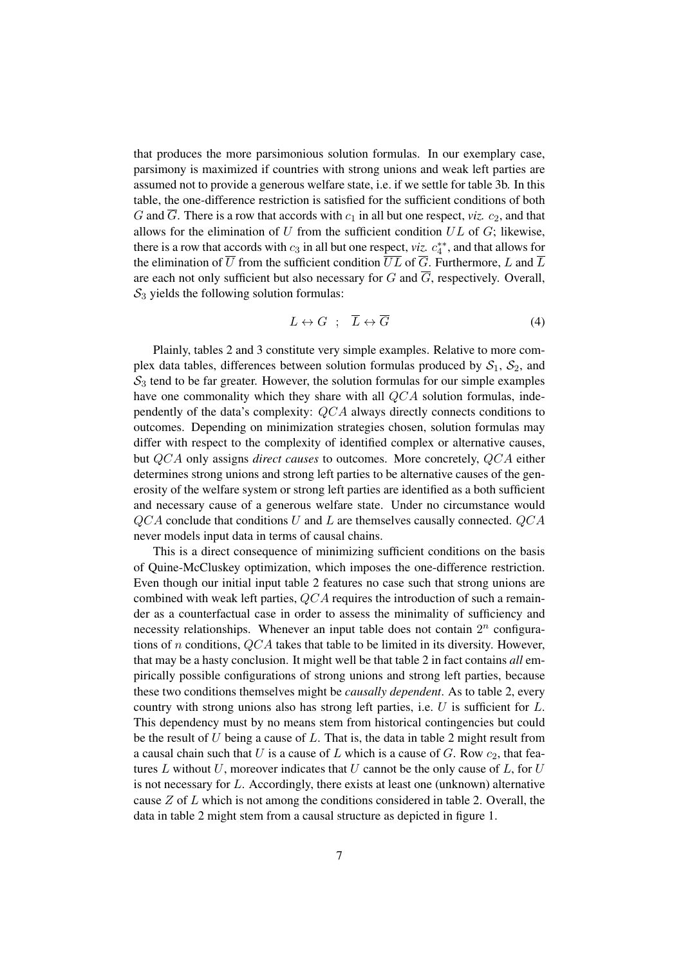that produces the more parsimonious solution formulas. In our exemplary case, parsimony is maximized if countries with strong unions and weak left parties are assumed not to provide a generous welfare state, i.e. if we settle for table 3b. In this table, the one-difference restriction is satisfied for the sufficient conditions of both G and  $\overline{G}$ . There is a row that accords with  $c_1$  in all but one respect, *viz.*  $c_2$ , and that allows for the elimination of  $U$  from the sufficient condition  $UL$  of  $G$ ; likewise, there is a row that accords with  $c_3$  in all but one respect, *viz.*  $c_4^{**}$ , and that allows for the elimination of  $\overline{U}$  from the sufficient condition  $\overline{UL}$  of  $\overline{G}$ . Furthermore, L and  $\overline{L}$ are each not only sufficient but also necessary for G and  $\overline{G}$ , respectively. Overall,  $S_3$  yields the following solution formulas:

$$
L \leftrightarrow G \quad ; \quad \overline{L} \leftrightarrow \overline{G} \tag{4}
$$

Plainly, tables 2 and 3 constitute very simple examples. Relative to more complex data tables, differences between solution formulas produced by  $S_1$ ,  $S_2$ , and  $S_3$  tend to be far greater. However, the solution formulas for our simple examples have one commonality which they share with all QCA solution formulas, independently of the data's complexity: QCA always directly connects conditions to outcomes. Depending on minimization strategies chosen, solution formulas may differ with respect to the complexity of identified complex or alternative causes, but QCA only assigns *direct causes* to outcomes. More concretely, QCA either determines strong unions and strong left parties to be alternative causes of the generosity of the welfare system or strong left parties are identified as a both sufficient and necessary cause of a generous welfare state. Under no circumstance would  $QCA$  conclude that conditions U and L are themselves causally connected.  $QCA$ never models input data in terms of causal chains.

This is a direct consequence of minimizing sufficient conditions on the basis of Quine-McCluskey optimization, which imposes the one-difference restriction. Even though our initial input table 2 features no case such that strong unions are combined with weak left parties, QCA requires the introduction of such a remainder as a counterfactual case in order to assess the minimality of sufficiency and necessity relationships. Whenever an input table does not contain  $2^n$  configurations of n conditions, QCA takes that table to be limited in its diversity. However, that may be a hasty conclusion. It might well be that table 2 in fact contains *all* empirically possible configurations of strong unions and strong left parties, because these two conditions themselves might be *causally dependent*. As to table 2, every country with strong unions also has strong left parties, i.e. U is sufficient for L. This dependency must by no means stem from historical contingencies but could be the result of  $U$  being a cause of  $L$ . That is, the data in table 2 might result from a causal chain such that U is a cause of L which is a cause of G. Row  $c_2$ , that features  $L$  without  $U$ , moreover indicates that  $U$  cannot be the only cause of  $L$ , for  $U$ is not necessary for  $L$ . Accordingly, there exists at least one (unknown) alternative cause  $Z$  of  $L$  which is not among the conditions considered in table 2. Overall, the data in table 2 might stem from a causal structure as depicted in figure 1.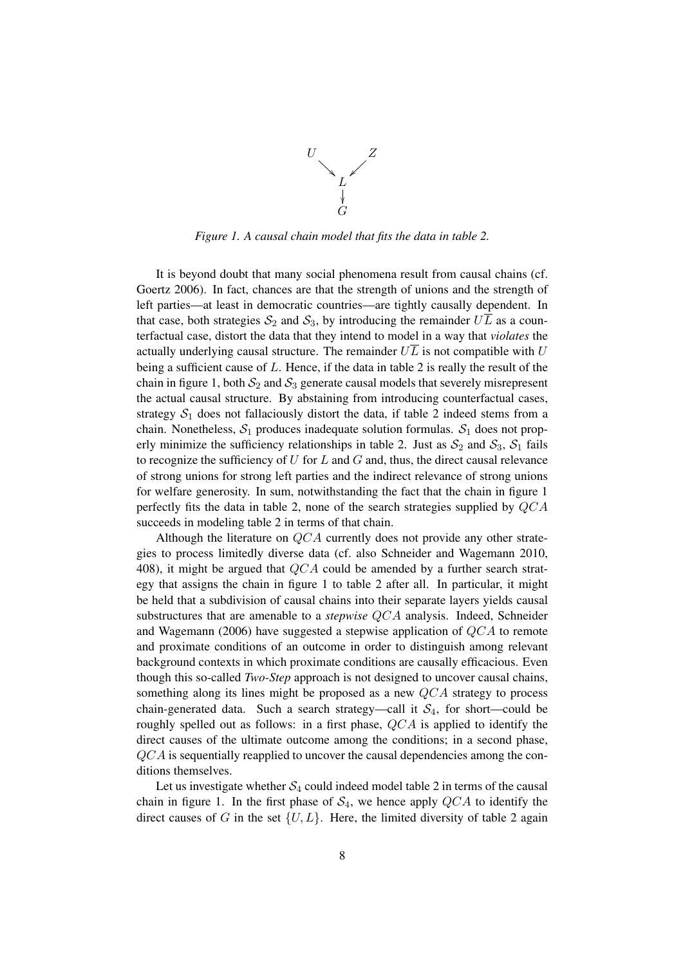

*Figure 1. A causal chain model that fits the data in table 2.*

It is beyond doubt that many social phenomena result from causal chains (cf. Goertz 2006). In fact, chances are that the strength of unions and the strength of left parties—at least in democratic countries—are tightly causally dependent. In that case, both strategies  $S_2$  and  $S_3$ , by introducing the remainder  $U\overline{L}$  as a counterfactual case, distort the data that they intend to model in a way that *violates* the actually underlying causal structure. The remainder  $U\overline{L}$  is not compatible with U being a sufficient cause of  $L$ . Hence, if the data in table 2 is really the result of the chain in figure 1, both  $S_2$  and  $S_3$  generate causal models that severely misrepresent the actual causal structure. By abstaining from introducing counterfactual cases, strategy  $S_1$  does not fallaciously distort the data, if table 2 indeed stems from a chain. Nonetheless,  $S_1$  produces inadequate solution formulas.  $S_1$  does not properly minimize the sufficiency relationships in table 2. Just as  $S_2$  and  $S_3$ ,  $S_1$  fails to recognize the sufficiency of  $U$  for  $L$  and  $G$  and, thus, the direct causal relevance of strong unions for strong left parties and the indirect relevance of strong unions for welfare generosity. In sum, notwithstanding the fact that the chain in figure 1 perfectly fits the data in table 2, none of the search strategies supplied by QCA succeeds in modeling table 2 in terms of that chain.

Although the literature on QCA currently does not provide any other strategies to process limitedly diverse data (cf. also Schneider and Wagemann 2010, 408), it might be argued that  $QCA$  could be amended by a further search strategy that assigns the chain in figure 1 to table 2 after all. In particular, it might be held that a subdivision of causal chains into their separate layers yields causal substructures that are amenable to a *stepwise* QCA analysis. Indeed, Schneider and Wagemann (2006) have suggested a stepwise application of QCA to remote and proximate conditions of an outcome in order to distinguish among relevant background contexts in which proximate conditions are causally efficacious. Even though this so-called *Two-Step* approach is not designed to uncover causal chains, something along its lines might be proposed as a new QCA strategy to process chain-generated data. Such a search strategy—call it  $S_4$ , for short—could be roughly spelled out as follows: in a first phase, QCA is applied to identify the direct causes of the ultimate outcome among the conditions; in a second phase, QCA is sequentially reapplied to uncover the causal dependencies among the conditions themselves.

Let us investigate whether  $S_4$  could indeed model table 2 in terms of the causal chain in figure 1. In the first phase of  $S_4$ , we hence apply  $QCA$  to identify the direct causes of G in the set  $\{U, L\}$ . Here, the limited diversity of table 2 again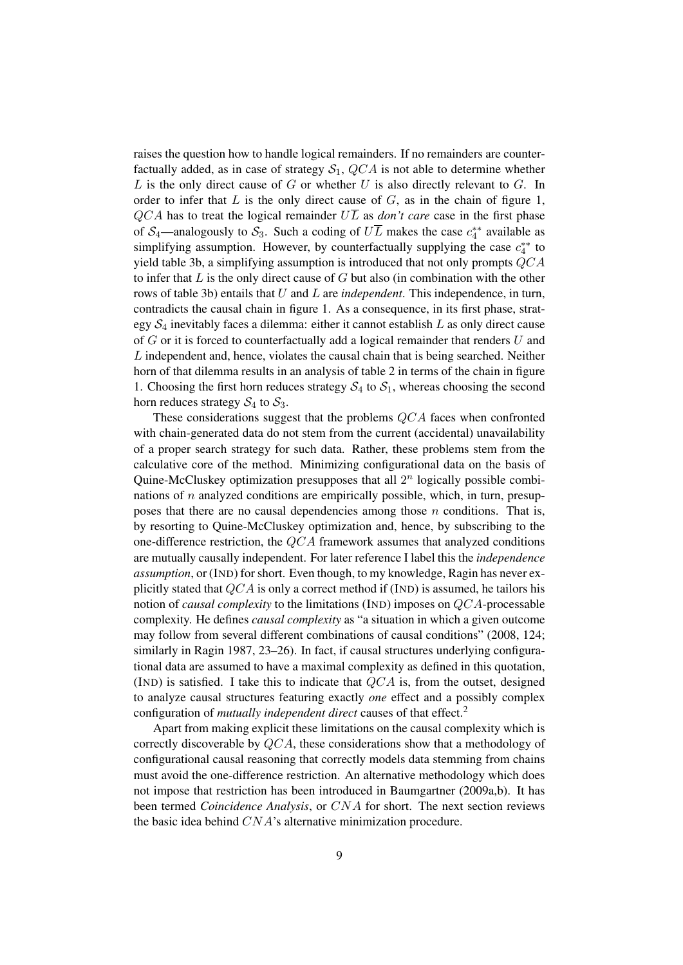raises the question how to handle logical remainders. If no remainders are counterfactually added, as in case of strategy  $S_1$ ,  $QCA$  is not able to determine whether  $L$  is the only direct cause of  $G$  or whether  $U$  is also directly relevant to  $G$ . In order to infer that  $L$  is the only direct cause of  $G$ , as in the chain of figure 1,  $QCA$  has to treat the logical remainder  $U\overline{L}$  as *don't care* case in the first phase of S<sub>4</sub>—analogously to S<sub>3</sub>. Such a coding of  $U\overline{L}$  makes the case  $c_4^{**}$  available as simplifying assumption. However, by counterfactually supplying the case  $c_4^{**}$  to yield table 3b, a simplifying assumption is introduced that not only prompts QCA to infer that  $L$  is the only direct cause of  $G$  but also (in combination with the other rows of table 3b) entails that U and L are *independent*. This independence, in turn, contradicts the causal chain in figure 1. As a consequence, in its first phase, strategy  $S_4$  inevitably faces a dilemma: either it cannot establish  $L$  as only direct cause of G or it is forced to counterfactually add a logical remainder that renders U and L independent and, hence, violates the causal chain that is being searched. Neither horn of that dilemma results in an analysis of table 2 in terms of the chain in figure 1. Choosing the first horn reduces strategy  $S_4$  to  $S_1$ , whereas choosing the second horn reduces strategy  $S_4$  to  $S_3$ .

These considerations suggest that the problems QCA faces when confronted with chain-generated data do not stem from the current (accidental) unavailability of a proper search strategy for such data. Rather, these problems stem from the calculative core of the method. Minimizing configurational data on the basis of Quine-McCluskey optimization presupposes that all  $2^n$  logically possible combinations of  $n$  analyzed conditions are empirically possible, which, in turn, presupposes that there are no causal dependencies among those  $n$  conditions. That is, by resorting to Quine-McCluskey optimization and, hence, by subscribing to the one-difference restriction, the QCA framework assumes that analyzed conditions are mutually causally independent. For later reference I label this the *independence assumption*, or (IND) for short. Even though, to my knowledge, Ragin has never explicitly stated that  $QCA$  is only a correct method if (IND) is assumed, he tailors his notion of *causal complexity* to the limitations (IND) imposes on QCA-processable complexity. He defines *causal complexity* as "a situation in which a given outcome may follow from several different combinations of causal conditions" (2008, 124; similarly in Ragin 1987, 23–26). In fact, if causal structures underlying configurational data are assumed to have a maximal complexity as defined in this quotation, (IND) is satisfied. I take this to indicate that  $QCA$  is, from the outset, designed to analyze causal structures featuring exactly *one* effect and a possibly complex configuration of *mutually independent direct* causes of that effect.<sup>2</sup>

Apart from making explicit these limitations on the causal complexity which is correctly discoverable by QCA, these considerations show that a methodology of configurational causal reasoning that correctly models data stemming from chains must avoid the one-difference restriction. An alternative methodology which does not impose that restriction has been introduced in Baumgartner (2009a,b). It has been termed *Coincidence Analysis*, or CNA for short. The next section reviews the basic idea behind CNA's alternative minimization procedure.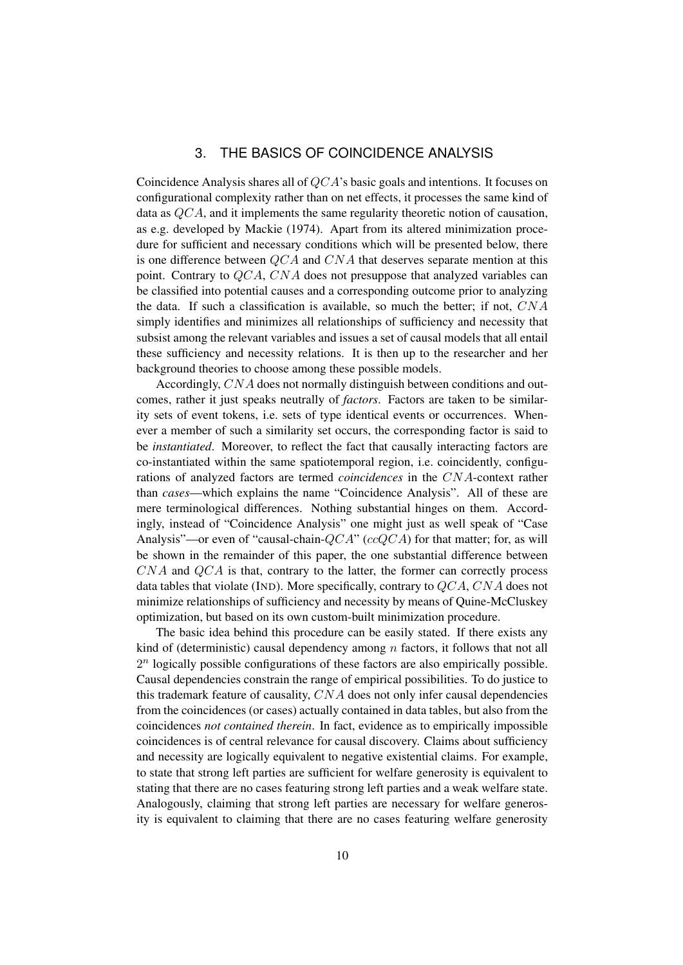### 3. THE BASICS OF COINCIDENCE ANALYSIS

Coincidence Analysis shares all of QCA's basic goals and intentions. It focuses on configurational complexity rather than on net effects, it processes the same kind of data as QCA, and it implements the same regularity theoretic notion of causation, as e.g. developed by Mackie (1974). Apart from its altered minimization procedure for sufficient and necessary conditions which will be presented below, there is one difference between  $OCA$  and  $CNA$  that deserves separate mention at this point. Contrary to QCA, CNA does not presuppose that analyzed variables can be classified into potential causes and a corresponding outcome prior to analyzing the data. If such a classification is available, so much the better; if not, CNA simply identifies and minimizes all relationships of sufficiency and necessity that subsist among the relevant variables and issues a set of causal models that all entail these sufficiency and necessity relations. It is then up to the researcher and her background theories to choose among these possible models.

Accordingly, CNA does not normally distinguish between conditions and outcomes, rather it just speaks neutrally of *factors*. Factors are taken to be similarity sets of event tokens, i.e. sets of type identical events or occurrences. Whenever a member of such a similarity set occurs, the corresponding factor is said to be *instantiated*. Moreover, to reflect the fact that causally interacting factors are co-instantiated within the same spatiotemporal region, i.e. coincidently, configurations of analyzed factors are termed *coincidences* in the CNA-context rather than *cases*—which explains the name "Coincidence Analysis". All of these are mere terminological differences. Nothing substantial hinges on them. Accordingly, instead of "Coincidence Analysis" one might just as well speak of "Case Analysis"—or even of "causal-chain- $QCA$ " ( $ccQCA$ ) for that matter; for, as will be shown in the remainder of this paper, the one substantial difference between  $CNA$  and  $QCA$  is that, contrary to the latter, the former can correctly process data tables that violate (IND). More specifically, contrary to  $QCA$ , CNA does not minimize relationships of sufficiency and necessity by means of Quine-McCluskey optimization, but based on its own custom-built minimization procedure.

The basic idea behind this procedure can be easily stated. If there exists any kind of (deterministic) causal dependency among  $n$  factors, it follows that not all  $2<sup>n</sup>$  logically possible configurations of these factors are also empirically possible. Causal dependencies constrain the range of empirical possibilities. To do justice to this trademark feature of causality, CNA does not only infer causal dependencies from the coincidences (or cases) actually contained in data tables, but also from the coincidences *not contained therein*. In fact, evidence as to empirically impossible coincidences is of central relevance for causal discovery. Claims about sufficiency and necessity are logically equivalent to negative existential claims. For example, to state that strong left parties are sufficient for welfare generosity is equivalent to stating that there are no cases featuring strong left parties and a weak welfare state. Analogously, claiming that strong left parties are necessary for welfare generosity is equivalent to claiming that there are no cases featuring welfare generosity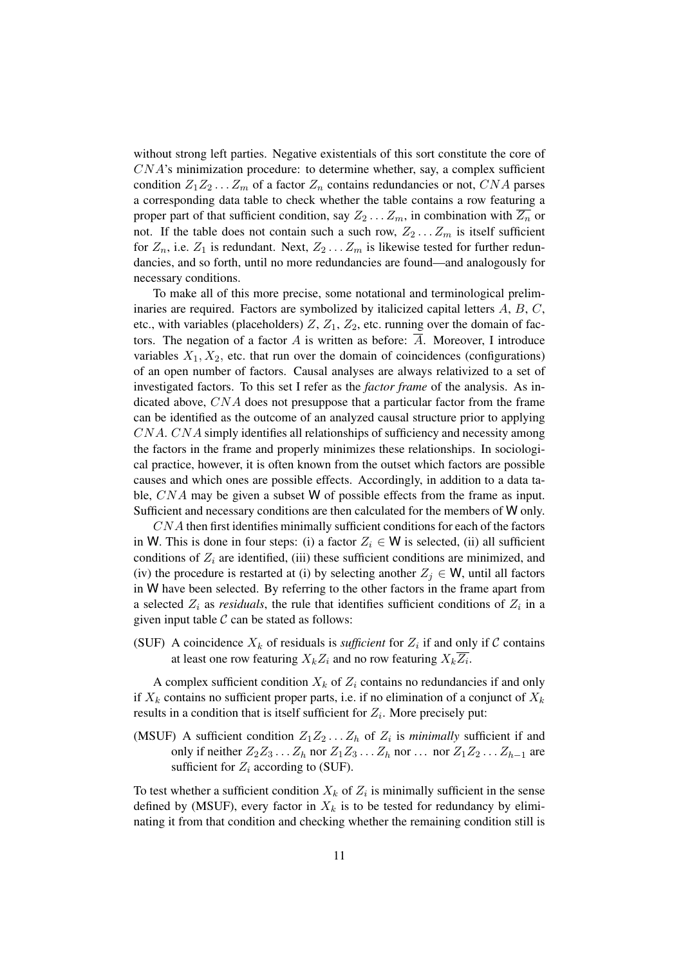without strong left parties. Negative existentials of this sort constitute the core of CNA's minimization procedure: to determine whether, say, a complex sufficient condition  $Z_1Z_2...Z_m$  of a factor  $Z_n$  contains redundancies or not, CNA parses a corresponding data table to check whether the table contains a row featuring a proper part of that sufficient condition, say  $Z_2 \ldots Z_m$ , in combination with  $\overline{Z_n}$  or not. If the table does not contain such a such row,  $Z_2 \ldots Z_m$  is itself sufficient for  $Z_n$ , i.e.  $Z_1$  is redundant. Next,  $Z_2 \ldots Z_m$  is likewise tested for further redundancies, and so forth, until no more redundancies are found—and analogously for necessary conditions.

To make all of this more precise, some notational and terminological preliminaries are required. Factors are symbolized by italicized capital letters A, B, C, etc., with variables (placeholders)  $Z$ ,  $Z_1$ ,  $Z_2$ , etc. running over the domain of factors. The negation of a factor A is written as before:  $\overline{A}$ . Moreover, I introduce variables  $X_1, X_2$ , etc. that run over the domain of coincidences (configurations) of an open number of factors. Causal analyses are always relativized to a set of investigated factors. To this set I refer as the *factor frame* of the analysis. As indicated above, CNA does not presuppose that a particular factor from the frame can be identified as the outcome of an analyzed causal structure prior to applying CNA. CNA simply identifies all relationships of sufficiency and necessity among the factors in the frame and properly minimizes these relationships. In sociological practice, however, it is often known from the outset which factors are possible causes and which ones are possible effects. Accordingly, in addition to a data table, CNA may be given a subset W of possible effects from the frame as input. Sufficient and necessary conditions are then calculated for the members of W only.

CNA then first identifies minimally sufficient conditions for each of the factors in W. This is done in four steps: (i) a factor  $Z_i \in W$  is selected, (ii) all sufficient conditions of  $Z_i$  are identified, (iii) these sufficient conditions are minimized, and (iv) the procedure is restarted at (i) by selecting another  $Z_j \in W$ , until all factors in W have been selected. By referring to the other factors in the frame apart from a selected  $Z_i$  as *residuals*, the rule that identifies sufficient conditions of  $Z_i$  in a given input table  $C$  can be stated as follows:

(SUF) A coincidence  $X_k$  of residuals is *sufficient* for  $Z_i$  if and only if C contains at least one row featuring  $X_k Z_i$  and no row featuring  $X_k Z_i$ .

A complex sufficient condition  $X_k$  of  $Z_i$  contains no redundancies if and only if  $X_k$  contains no sufficient proper parts, i.e. if no elimination of a conjunct of  $X_k$ results in a condition that is itself sufficient for  $Z_i$ . More precisely put:

(MSUF) A sufficient condition  $Z_1 Z_2 ... Z_h$  of  $Z_i$  is *minimally* sufficient if and only if neither  $Z_2Z_3 \ldots Z_h$  nor  $Z_1Z_3 \ldots Z_h$  nor  $\ldots$  nor  $Z_1Z_2 \ldots Z_{h-1}$  are sufficient for  $Z_i$  according to (SUF).

To test whether a sufficient condition  $X_k$  of  $Z_i$  is minimally sufficient in the sense defined by (MSUF), every factor in  $X_k$  is to be tested for redundancy by eliminating it from that condition and checking whether the remaining condition still is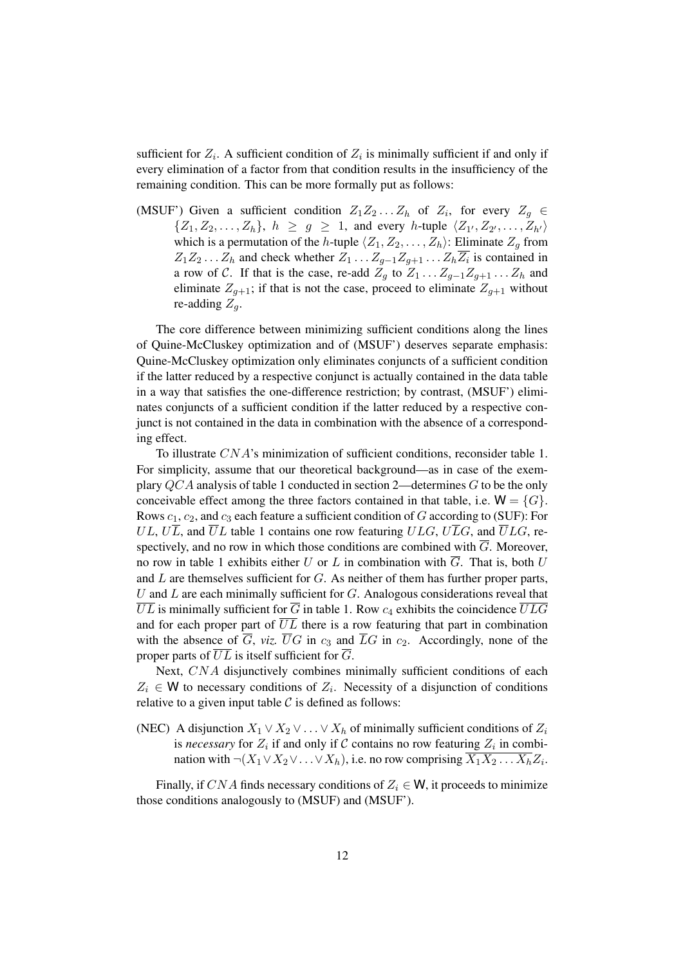sufficient for  $Z_i$ . A sufficient condition of  $Z_i$  is minimally sufficient if and only if every elimination of a factor from that condition results in the insufficiency of the remaining condition. This can be more formally put as follows:

(MSUF') Given a sufficient condition  $Z_1 Z_2 ... Z_h$  of  $Z_i$ , for every  $Z_g \in$  $\{Z_1, Z_2, \ldots, Z_h\}, h \geq g \geq 1$ , and every h-tuple  $\langle Z_{1'}, Z_{2'}, \ldots, Z_{h'} \rangle$ which is a permutation of the h-tuple  $\langle Z_1, Z_2, \ldots, Z_h \rangle$ : Eliminate  $Z_g$  from  $Z_1 Z_2 ... Z_h$  and check whether  $Z_1 ... Z_{g-1} Z_{g+1} ... Z_h Z_i$  is contained in a row of C. If that is the case, re-add  $Z_q$  to  $Z_1 \ldots Z_{q-1} Z_{q+1} \ldots Z_h$  and eliminate  $Z_{g+1}$ ; if that is not the case, proceed to eliminate  $Z_{g+1}$  without re-adding  $Z_q$ .

The core difference between minimizing sufficient conditions along the lines of Quine-McCluskey optimization and of (MSUF') deserves separate emphasis: Quine-McCluskey optimization only eliminates conjuncts of a sufficient condition if the latter reduced by a respective conjunct is actually contained in the data table in a way that satisfies the one-difference restriction; by contrast, (MSUF') eliminates conjuncts of a sufficient condition if the latter reduced by a respective conjunct is not contained in the data in combination with the absence of a corresponding effect.

To illustrate CNA's minimization of sufficient conditions, reconsider table 1. For simplicity, assume that our theoretical background—as in case of the exemplary  $QCA$  analysis of table 1 conducted in section 2—determines G to be the only conceivable effect among the three factors contained in that table, i.e.  $W = \{G\}$ . Rows  $c_1$ ,  $c_2$ , and  $c_3$  each feature a sufficient condition of G according to (SUF): For  $UL, U\overline{L}$ , and  $\overline{U}L$  table 1 contains one row featuring  $ULG, U\overline{L}G$ , and  $\overline{U}LG$ , respectively, and no row in which those conditions are combined with  $\overline{G}$ . Moreover, no row in table 1 exhibits either U or L in combination with  $\overline{G}$ . That is, both U and  $L$  are themselves sufficient for  $G$ . As neither of them has further proper parts, U and  $L$  are each minimally sufficient for  $G$ . Analogous considerations reveal that  $\overline{UL}$  is minimally sufficient for  $\overline{G}$  in table 1. Row  $c_4$  exhibits the coincidence  $\overline{ULG}$ and for each proper part of  $\overline{UL}$  there is a row featuring that part in combination with the absence of  $\overline{G}$ , *viz.*  $\overline{U}G$  in  $c_3$  and  $\overline{L}G$  in  $c_2$ . Accordingly, none of the proper parts of  $\overline{UL}$  is itself sufficient for  $\overline{G}$ .

Next, CNA disjunctively combines minimally sufficient conditions of each  $Z_i \in W$  to necessary conditions of  $Z_i$ . Necessity of a disjunction of conditions relative to a given input table  $\mathcal C$  is defined as follows:

(NEC) A disjunction  $X_1 \vee X_2 \vee \ldots \vee X_h$  of minimally sufficient conditions of  $Z_i$ is *necessary* for  $Z_i$  if and only if C contains no row featuring  $Z_i$  in combination with  $\neg(X_1 \lor X_2 \lor \ldots \lor X_h)$ , i.e. no row comprising  $\overline{X_1 X_2 \ldots X_h} Z_i$ .

Finally, if CNA finds necessary conditions of  $Z_i \in W$ , it proceeds to minimize those conditions analogously to (MSUF) and (MSUF').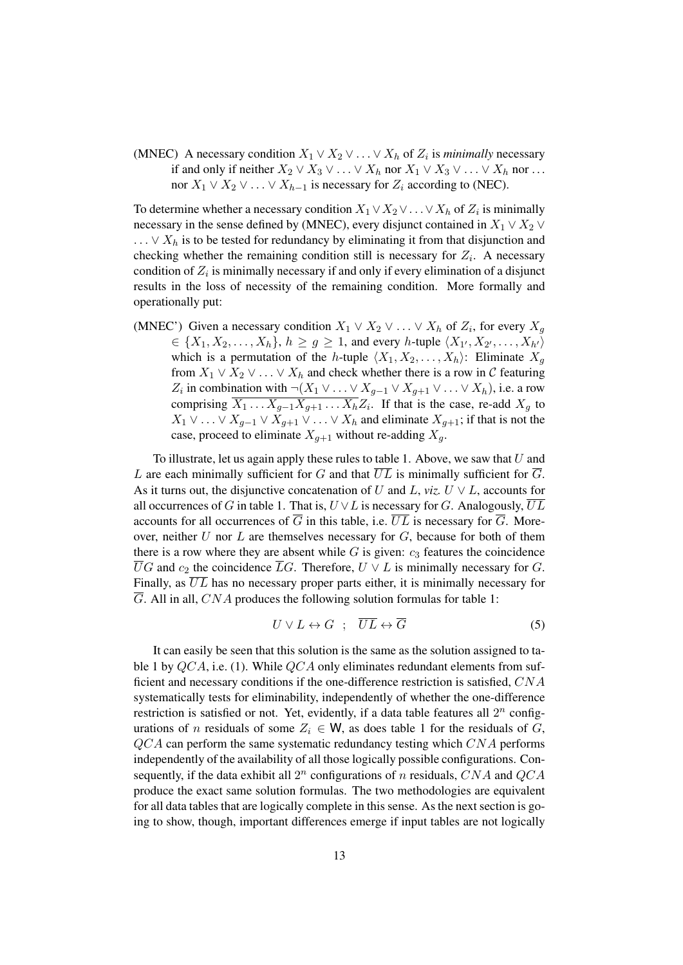(MNEC) A necessary condition  $X_1 \vee X_2 \vee \ldots \vee X_h$  of  $Z_i$  is *minimally* necessary if and only if neither  $X_2 \vee X_3 \vee \ldots \vee X_h$  nor  $X_1 \vee X_3 \vee \ldots \vee X_h$  nor ... nor  $X_1 \vee X_2 \vee \ldots \vee X_{h-1}$  is necessary for  $Z_i$  according to (NEC).

To determine whether a necessary condition  $X_1 \vee X_2 \vee \ldots \vee X_h$  of  $Z_i$  is minimally necessary in the sense defined by (MNEC), every disjunct contained in  $X_1 \vee X_2 \vee$  $\ldots \vee X_h$  is to be tested for redundancy by eliminating it from that disjunction and checking whether the remaining condition still is necessary for  $Z_i$ . A necessary condition of  $Z_i$  is minimally necessary if and only if every elimination of a disjunct results in the loss of necessity of the remaining condition. More formally and operationally put:

(MNEC') Given a necessary condition  $X_1 \vee X_2 \vee \ldots \vee X_h$  of  $Z_i$ , for every  $X_g$  $\in \{X_1, X_2, \ldots, X_h\}, h \ge g \ge 1$ , and every h-tuple  $\langle X_{1'}, X_{2'}, \ldots, X_{h'} \rangle$ which is a permutation of the h-tuple  $\langle X_1, X_2, \ldots, X_h \rangle$ : Eliminate  $X_q$ from  $X_1 \vee X_2 \vee \ldots \vee X_h$  and check whether there is a row in C featuring  $Z_i$  in combination with  $\neg(X_1 \lor \dots \lor X_{g-1} \lor X_{g+1} \lor \dots \lor X_h)$ , i.e. a row comprising  $X_1 \dots X_{g-1} X_{g+1} \dots X_h Z_i$ . If that is the case, re-add  $X_g$  to  $X_1 \vee \ldots \vee X_{q-1} \vee X_{q+1} \vee \ldots \vee X_h$  and eliminate  $X_{q+1}$ ; if that is not the case, proceed to eliminate  $X_{q+1}$  without re-adding  $X_q$ .

To illustrate, let us again apply these rules to table 1. Above, we saw that  $U$  and L are each minimally sufficient for G and that  $\overline{UL}$  is minimally sufficient for  $\overline{G}$ . As it turns out, the disjunctive concatenation of U and L, *viz.*  $U \vee L$ , accounts for all occurrences of G in table 1. That is,  $U \vee L$  is necessary for G. Analogously,  $\overline{UL}$ accounts for all occurrences of  $\overline{G}$  in this table, i.e.  $\overline{UL}$  is necessary for  $\overline{G}$ . Moreover, neither  $U$  nor  $L$  are themselves necessary for  $G$ , because for both of them there is a row where they are absent while  $G$  is given:  $c_3$  features the coincidence  $\overline{U}G$  and  $c_2$  the coincidence  $\overline{L}G$ . Therefore,  $U \vee L$  is minimally necessary for G. Finally, as  $\overline{UL}$  has no necessary proper parts either, it is minimally necessary for  $\overline{G}$ . All in all, CNA produces the following solution formulas for table 1:

$$
U \vee L \leftrightarrow G \quad ; \quad \overline{UL} \leftrightarrow \overline{G} \tag{5}
$$

It can easily be seen that this solution is the same as the solution assigned to table 1 by  $QCA$ , i.e. (1). While  $QCA$  only eliminates redundant elements from sufficient and necessary conditions if the one-difference restriction is satisfied, CNA systematically tests for eliminability, independently of whether the one-difference restriction is satisfied or not. Yet, evidently, if a data table features all  $2^n$  configurations of n residuals of some  $Z_i \in W$ , as does table 1 for the residuals of G,  $QCA$  can perform the same systematic redundancy testing which  $CNA$  performs independently of the availability of all those logically possible configurations. Consequently, if the data exhibit all  $2^n$  configurations of n residuals, CNA and QCA produce the exact same solution formulas. The two methodologies are equivalent for all data tables that are logically complete in this sense. As the next section is going to show, though, important differences emerge if input tables are not logically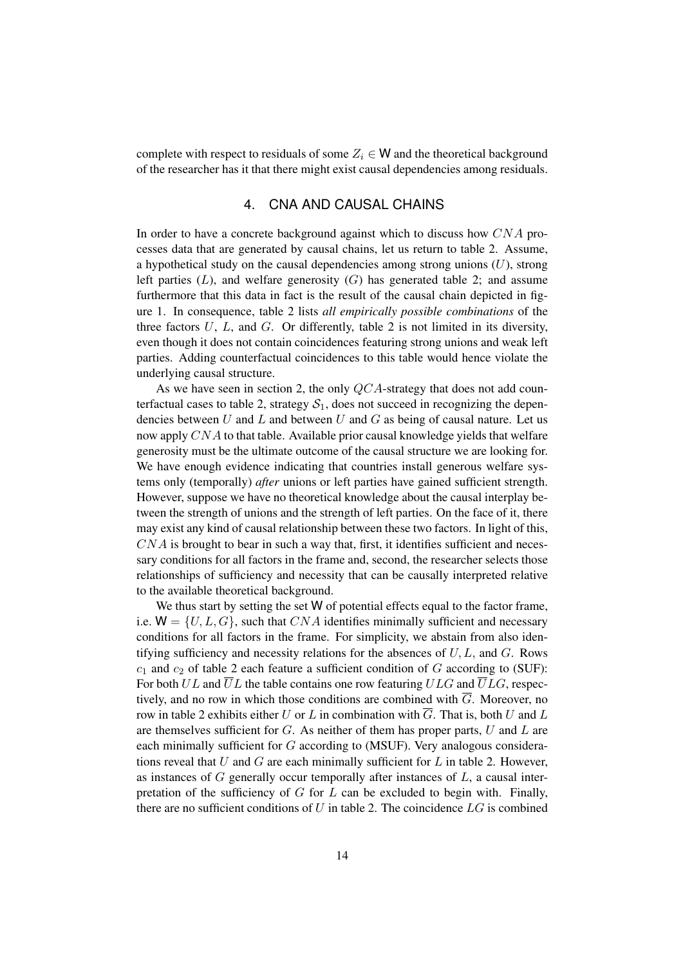complete with respect to residuals of some  $Z_i \in W$  and the theoretical background of the researcher has it that there might exist causal dependencies among residuals.

#### 4. CNA AND CAUSAL CHAINS

In order to have a concrete background against which to discuss how CNA processes data that are generated by causal chains, let us return to table 2. Assume, a hypothetical study on the causal dependencies among strong unions  $(U)$ , strong left parties  $(L)$ , and welfare generosity  $(G)$  has generated table 2; and assume furthermore that this data in fact is the result of the causal chain depicted in figure 1. In consequence, table 2 lists *all empirically possible combinations* of the three factors  $U$ ,  $L$ , and  $G$ . Or differently, table 2 is not limited in its diversity, even though it does not contain coincidences featuring strong unions and weak left parties. Adding counterfactual coincidences to this table would hence violate the underlying causal structure.

As we have seen in section 2, the only  $QCA$ -strategy that does not add counterfactual cases to table 2, strategy  $S_1$ , does not succeed in recognizing the dependencies between  $U$  and  $L$  and between  $U$  and  $G$  as being of causal nature. Let us now apply CNA to that table. Available prior causal knowledge yields that welfare generosity must be the ultimate outcome of the causal structure we are looking for. We have enough evidence indicating that countries install generous welfare systems only (temporally) *after* unions or left parties have gained sufficient strength. However, suppose we have no theoretical knowledge about the causal interplay between the strength of unions and the strength of left parties. On the face of it, there may exist any kind of causal relationship between these two factors. In light of this,  $CNA$  is brought to bear in such a way that, first, it identifies sufficient and necessary conditions for all factors in the frame and, second, the researcher selects those relationships of sufficiency and necessity that can be causally interpreted relative to the available theoretical background.

We thus start by setting the set W of potential effects equal to the factor frame, i.e.  $W = \{U, L, G\}$ , such that CNA identifies minimally sufficient and necessary conditions for all factors in the frame. For simplicity, we abstain from also identifying sufficiency and necessity relations for the absences of  $U, L$ , and  $G$ . Rows  $c_1$  and  $c_2$  of table 2 each feature a sufficient condition of G according to (SUF): For both UL and  $\overline{U}L$  the table contains one row featuring ULG and  $\overline{U}LG$ , respectively, and no row in which those conditions are combined with  $\overline{G}$ . Moreover, no row in table 2 exhibits either U or L in combination with  $\overline{G}$ . That is, both U and L are themselves sufficient for  $G$ . As neither of them has proper parts,  $U$  and  $L$  are each minimally sufficient for G according to (MSUF). Very analogous considerations reveal that U and G are each minimally sufficient for L in table 2. However, as instances of  $G$  generally occur temporally after instances of  $L$ , a causal interpretation of the sufficiency of  $G$  for  $L$  can be excluded to begin with. Finally, there are no sufficient conditions of  $U$  in table 2. The coincidence  $LG$  is combined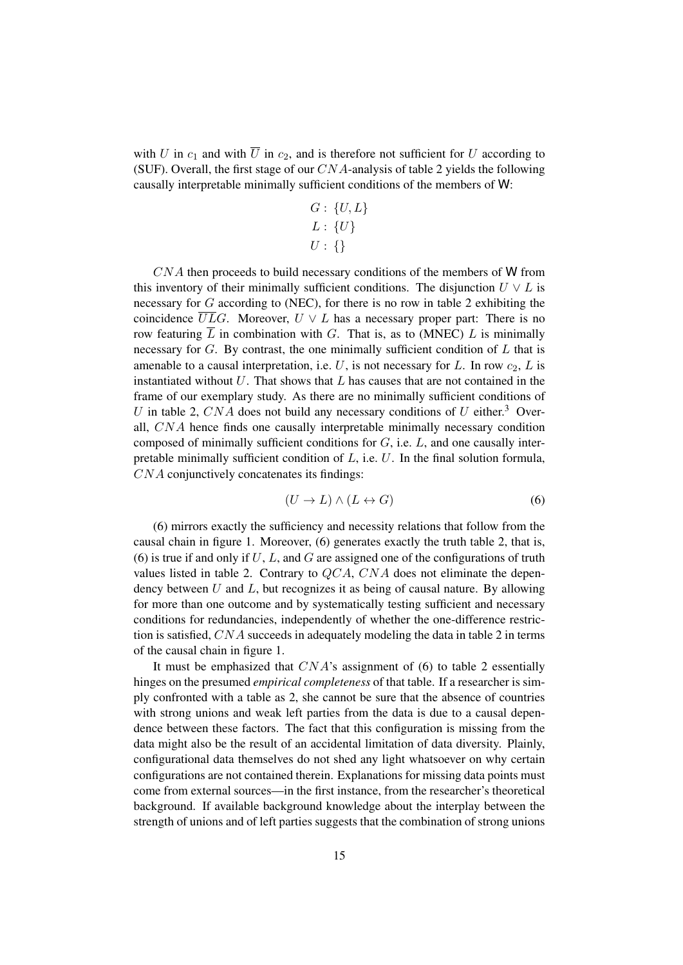with U in  $c_1$  and with  $\overline{U}$  in  $c_2$ , and is therefore not sufficient for U according to (SUF). Overall, the first stage of our  $CNA$ -analysis of table 2 yields the following causally interpretable minimally sufficient conditions of the members of W:

$$
G: \{U, L\}
$$

$$
L: \{U\}
$$

$$
U: \{\}
$$

CNA then proceeds to build necessary conditions of the members of W from this inventory of their minimally sufficient conditions. The disjunction  $U \vee L$  is necessary for G according to (NEC), for there is no row in table 2 exhibiting the coincidence  $\overline{UL}G$ . Moreover,  $U \vee L$  has a necessary proper part: There is no row featuring  $\overline{L}$  in combination with G. That is, as to (MNEC) L is minimally necessary for  $G$ . By contrast, the one minimally sufficient condition of  $L$  that is amenable to a causal interpretation, i.e. U, is not necessary for L. In row  $c_2$ , L is instantiated without  $U$ . That shows that  $L$  has causes that are not contained in the frame of our exemplary study. As there are no minimally sufficient conditions of U in table 2, CNA does not build any necessary conditions of U either.<sup>3</sup> Overall, CNA hence finds one causally interpretable minimally necessary condition composed of minimally sufficient conditions for  $G$ , i.e.  $L$ , and one causally interpretable minimally sufficient condition of  $L$ , i.e.  $U$ . In the final solution formula, CNA conjunctively concatenates its findings:

$$
(U \to L) \land (L \leftrightarrow G) \tag{6}
$$

(6) mirrors exactly the sufficiency and necessity relations that follow from the causal chain in figure 1. Moreover, (6) generates exactly the truth table 2, that is, (6) is true if and only if  $U, L$ , and  $G$  are assigned one of the configurations of truth values listed in table 2. Contrary to  $QCA$ ,  $CNA$  does not eliminate the dependency between  $U$  and  $L$ , but recognizes it as being of causal nature. By allowing for more than one outcome and by systematically testing sufficient and necessary conditions for redundancies, independently of whether the one-difference restriction is satisfied, CNA succeeds in adequately modeling the data in table 2 in terms of the causal chain in figure 1.

It must be emphasized that  $CNA$ 's assignment of (6) to table 2 essentially hinges on the presumed *empirical completeness* of that table. If a researcher is simply confronted with a table as 2, she cannot be sure that the absence of countries with strong unions and weak left parties from the data is due to a causal dependence between these factors. The fact that this configuration is missing from the data might also be the result of an accidental limitation of data diversity. Plainly, configurational data themselves do not shed any light whatsoever on why certain configurations are not contained therein. Explanations for missing data points must come from external sources—in the first instance, from the researcher's theoretical background. If available background knowledge about the interplay between the strength of unions and of left parties suggests that the combination of strong unions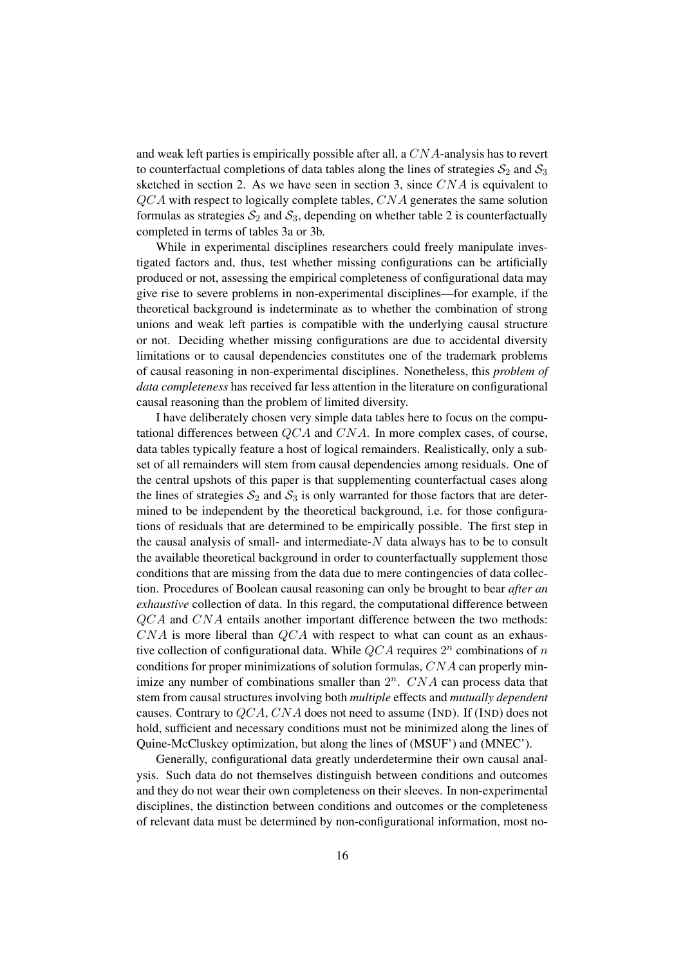and weak left parties is empirically possible after all, a CNA-analysis has to revert to counterfactual completions of data tables along the lines of strategies  $S_2$  and  $S_3$ sketched in section 2. As we have seen in section 3, since  $CNA$  is equivalent to  $QCA$  with respect to logically complete tables,  $CNA$  generates the same solution formulas as strategies  $S_2$  and  $S_3$ , depending on whether table 2 is counterfactually completed in terms of tables 3a or 3b.

While in experimental disciplines researchers could freely manipulate investigated factors and, thus, test whether missing configurations can be artificially produced or not, assessing the empirical completeness of configurational data may give rise to severe problems in non-experimental disciplines—for example, if the theoretical background is indeterminate as to whether the combination of strong unions and weak left parties is compatible with the underlying causal structure or not. Deciding whether missing configurations are due to accidental diversity limitations or to causal dependencies constitutes one of the trademark problems of causal reasoning in non-experimental disciplines. Nonetheless, this *problem of data completeness* has received far less attention in the literature on configurational causal reasoning than the problem of limited diversity.

I have deliberately chosen very simple data tables here to focus on the computational differences between  $QCA$  and  $CNA$ . In more complex cases, of course, data tables typically feature a host of logical remainders. Realistically, only a subset of all remainders will stem from causal dependencies among residuals. One of the central upshots of this paper is that supplementing counterfactual cases along the lines of strategies  $S_2$  and  $S_3$  is only warranted for those factors that are determined to be independent by the theoretical background, i.e. for those configurations of residuals that are determined to be empirically possible. The first step in the causal analysis of small- and intermediate- $N$  data always has to be to consult the available theoretical background in order to counterfactually supplement those conditions that are missing from the data due to mere contingencies of data collection. Procedures of Boolean causal reasoning can only be brought to bear *after an exhaustive* collection of data. In this regard, the computational difference between  $QCA$  and  $CNA$  entails another important difference between the two methods:  $CNA$  is more liberal than  $QCA$  with respect to what can count as an exhaustive collection of configurational data. While  $QCA$  requires  $2<sup>n</sup>$  combinations of n conditions for proper minimizations of solution formulas, CNA can properly minimize any number of combinations smaller than  $2^n$ . CNA can process data that stem from causal structures involving both *multiple* effects and *mutually dependent* causes. Contrary to  $QCA$ , CNA does not need to assume (IND). If (IND) does not hold, sufficient and necessary conditions must not be minimized along the lines of Quine-McCluskey optimization, but along the lines of (MSUF') and (MNEC').

Generally, configurational data greatly underdetermine their own causal analysis. Such data do not themselves distinguish between conditions and outcomes and they do not wear their own completeness on their sleeves. In non-experimental disciplines, the distinction between conditions and outcomes or the completeness of relevant data must be determined by non-configurational information, most no-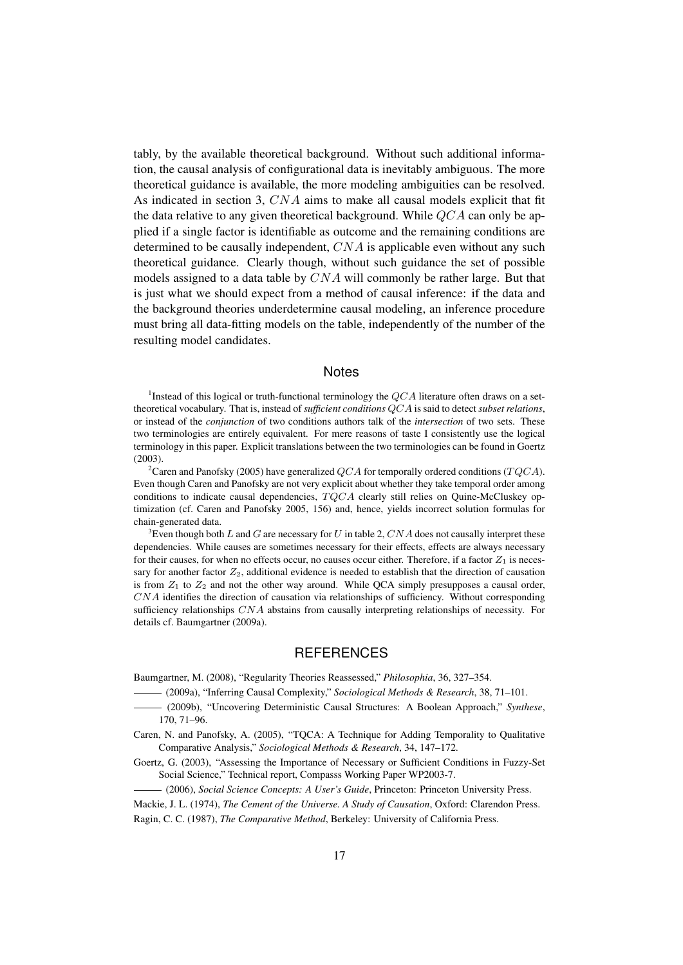tably, by the available theoretical background. Without such additional information, the causal analysis of configurational data is inevitably ambiguous. The more theoretical guidance is available, the more modeling ambiguities can be resolved. As indicated in section 3, CNA aims to make all causal models explicit that fit the data relative to any given theoretical background. While  $QCA$  can only be applied if a single factor is identifiable as outcome and the remaining conditions are determined to be causally independent,  $CNA$  is applicable even without any such theoretical guidance. Clearly though, without such guidance the set of possible models assigned to a data table by  $CNA$  will commonly be rather large. But that is just what we should expect from a method of causal inference: if the data and the background theories underdetermine causal modeling, an inference procedure must bring all data-fitting models on the table, independently of the number of the resulting model candidates.

### **Notes**

<sup>1</sup>Instead of this logical or truth-functional terminology the  $QCA$  literature often draws on a settheoretical vocabulary. That is, instead of *sufficient conditions* QCA is said to detect *subset relations*, or instead of the *conjunction* of two conditions authors talk of the *intersection* of two sets. These two terminologies are entirely equivalent. For mere reasons of taste I consistently use the logical terminology in this paper. Explicit translations between the two terminologies can be found in Goertz (2003).

<sup>2</sup>Caren and Panofsky (2005) have generalized QCA for temporally ordered conditions (TQCA). Even though Caren and Panofsky are not very explicit about whether they take temporal order among conditions to indicate causal dependencies,  $TQCA$  clearly still relies on Quine-McCluskey optimization (cf. Caren and Panofsky 2005, 156) and, hence, yields incorrect solution formulas for chain-generated data.

<sup>3</sup>Even though both L and G are necessary for U in table 2, CNA does not causally interpret these dependencies. While causes are sometimes necessary for their effects, effects are always necessary for their causes, for when no effects occur, no causes occur either. Therefore, if a factor  $Z_1$  is necessary for another factor  $Z_2$ , additional evidence is needed to establish that the direction of causation is from  $Z_1$  to  $Z_2$  and not the other way around. While QCA simply presupposes a causal order, CNA identifies the direction of causation via relationships of sufficiency. Without corresponding sufficiency relationships  $CNA$  abstains from causally interpreting relationships of necessity. For details cf. Baumgartner (2009a).

#### **REFERENCES**

Baumgartner, M. (2008), "Regularity Theories Reassessed," *Philosophia*, 36, 327–354.

- (2009a), "Inferring Causal Complexity," *Sociological Methods & Research*, 38, 71–101.
- (2009b), "Uncovering Deterministic Causal Structures: A Boolean Approach," *Synthese*, 170, 71–96.
- Caren, N. and Panofsky, A. (2005), "TQCA: A Technique for Adding Temporality to Qualitative Comparative Analysis," *Sociological Methods & Research*, 34, 147–172.
- Goertz, G. (2003), "Assessing the Importance of Necessary or Sufficient Conditions in Fuzzy-Set Social Science," Technical report, Compasss Working Paper WP2003-7.
	- (2006), *Social Science Concepts: A User's Guide*, Princeton: Princeton University Press.
- Mackie, J. L. (1974), *The Cement of the Universe. A Study of Causation*, Oxford: Clarendon Press.
- Ragin, C. C. (1987), *The Comparative Method*, Berkeley: University of California Press.